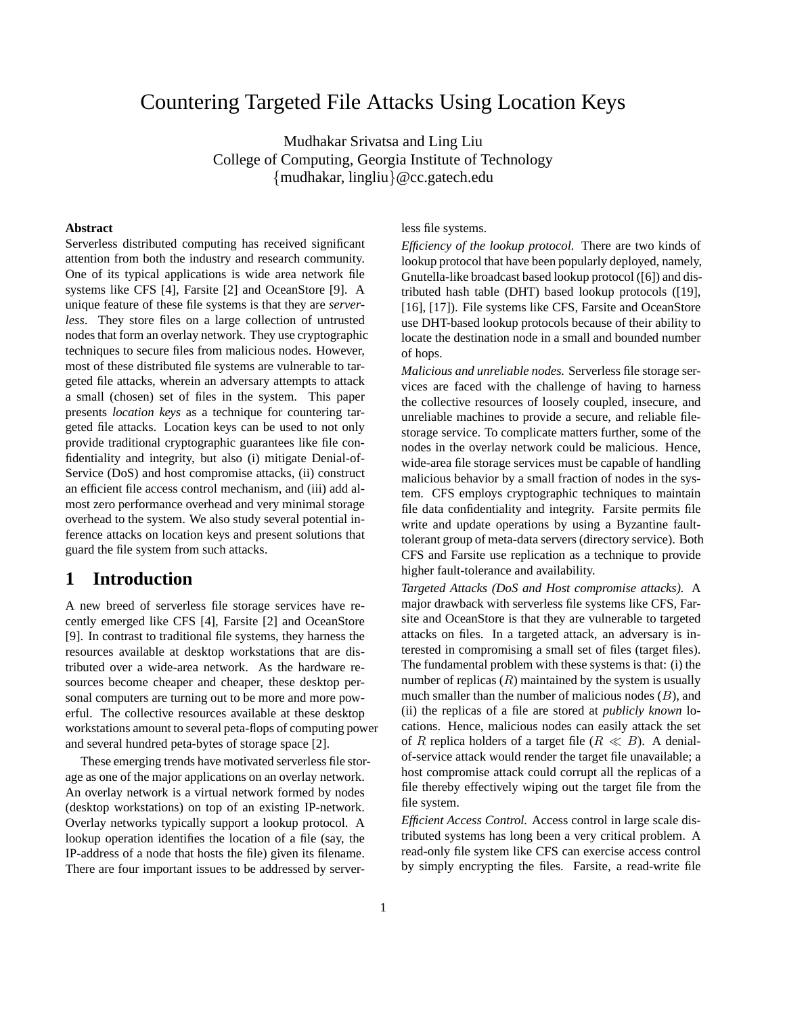# Countering Targeted File Attacks Using Location Keys

Mudhakar Srivatsa and Ling Liu College of Computing, Georgia Institute of Technology {mudhakar, lingliu}@cc.gatech.edu

### **Abstract**

Serverless distributed computing has received significant attention from both the industry and research community. One of its typical applications is wide area network file systems like CFS [4], Farsite [2] and OceanStore [9]. A unique feature of these file systems is that they are *serverless*. They store files on a large collection of untrusted nodes that form an overlay network. They use cryptographic techniques to secure files from malicious nodes. However, most of these distributed file systems are vulnerable to targeted file attacks, wherein an adversary attempts to attack a small (chosen) set of files in the system. This paper presents *location keys* as a technique for countering targeted file attacks. Location keys can be used to not only provide traditional cryptographic guarantees like file confidentiality and integrity, but also (i) mitigate Denial-of-Service (DoS) and host compromise attacks, (ii) construct an efficient file access control mechanism, and (iii) add almost zero performance overhead and very minimal storage overhead to the system. We also study several potential inference attacks on location keys and present solutions that guard the file system from such attacks.

# **1 Introduction**

A new breed of serverless file storage services have recently emerged like CFS [4], Farsite [2] and OceanStore [9]. In contrast to traditional file systems, they harness the resources available at desktop workstations that are distributed over a wide-area network. As the hardware resources become cheaper and cheaper, these desktop personal computers are turning out to be more and more powerful. The collective resources available at these desktop workstations amount to several peta-flops of computing power and several hundred peta-bytes of storage space [2].

These emerging trends have motivated serverless file storage as one of the major applications on an overlay network. An overlay network is a virtual network formed by nodes (desktop workstations) on top of an existing IP-network. Overlay networks typically support a lookup protocol. A lookup operation identifies the location of a file (say, the IP-address of a node that hosts the file) given its filename. There are four important issues to be addressed by serverless file systems.

*Efficiency of the lookup protocol.* There are two kinds of lookup protocol that have been popularly deployed, namely, Gnutella-like broadcast based lookup protocol ([6]) and distributed hash table (DHT) based lookup protocols ([19], [16], [17]). File systems like CFS, Farsite and OceanStore use DHT-based lookup protocols because of their ability to locate the destination node in a small and bounded number of hops.

*Malicious and unreliable nodes.* Serverless file storage services are faced with the challenge of having to harness the collective resources of loosely coupled, insecure, and unreliable machines to provide a secure, and reliable filestorage service. To complicate matters further, some of the nodes in the overlay network could be malicious. Hence, wide-area file storage services must be capable of handling malicious behavior by a small fraction of nodes in the system. CFS employs cryptographic techniques to maintain file data confidentiality and integrity. Farsite permits file write and update operations by using a Byzantine faulttolerant group of meta-data servers(directory service). Both CFS and Farsite use replication as a technique to provide higher fault-tolerance and availability.

*Targeted Attacks (DoS and Host compromise attacks).* A major drawback with serverless file systems like CFS, Farsite and OceanStore is that they are vulnerable to targeted attacks on files. In a targeted attack, an adversary is interested in compromising a small set of files (target files). The fundamental problem with these systems is that: (i) the number of replicas  $(R)$  maintained by the system is usually much smaller than the number of malicious nodes  $(B)$ , and (ii) the replicas of a file are stored at *publicly known* locations. Hence, malicious nodes can easily attack the set of R replica holders of a target file  $(R \ll B)$ . A denialof-service attack would render the target file unavailable; a host compromise attack could corrupt all the replicas of a file thereby effectively wiping out the target file from the file system.

*Efficient Access Control.* Access control in large scale distributed systems has long been a very critical problem. A read-only file system like CFS can exercise access control by simply encrypting the files. Farsite, a read-write file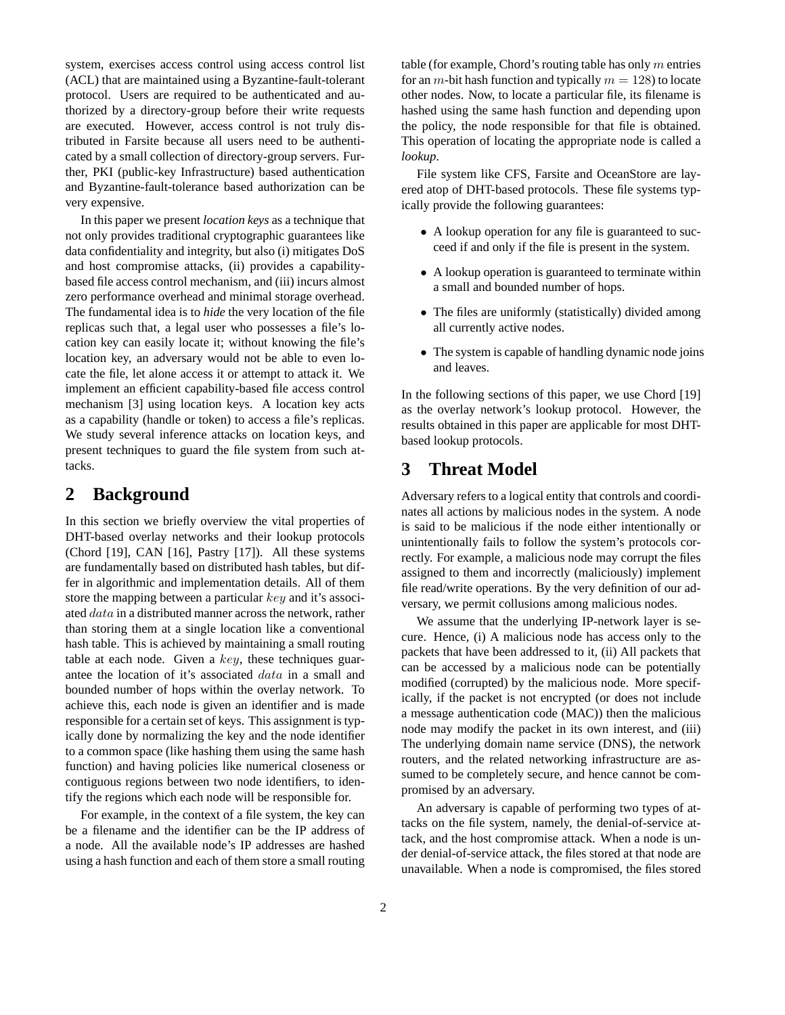system, exercises access control using access control list (ACL) that are maintained using a Byzantine-fault-tolerant protocol. Users are required to be authenticated and authorized by a directory-group before their write requests are executed. However, access control is not truly distributed in Farsite because all users need to be authenticated by a small collection of directory-group servers. Further, PKI (public-key Infrastructure) based authentication and Byzantine-fault-tolerance based authorization can be very expensive.

In this paper we present *location keys* as a technique that not only provides traditional cryptographic guarantees like data confidentiality and integrity, but also (i) mitigates DoS and host compromise attacks, (ii) provides a capabilitybased file access control mechanism, and (iii) incurs almost zero performance overhead and minimal storage overhead. The fundamental idea is to *hide* the very location of the file replicas such that, a legal user who possesses a file's location key can easily locate it; without knowing the file's location key, an adversary would not be able to even locate the file, let alone access it or attempt to attack it. We implement an efficient capability-based file access control mechanism [3] using location keys. A location key acts as a capability (handle or token) to access a file's replicas. We study several inference attacks on location keys, and present techniques to guard the file system from such attacks.

# **2 Background**

In this section we briefly overview the vital properties of DHT-based overlay networks and their lookup protocols (Chord [19], CAN [16], Pastry [17]). All these systems are fundamentally based on distributed hash tables, but differ in algorithmic and implementation details. All of them store the mapping between a particular key and it's associated data in a distributed manner across the network, rather than storing them at a single location like a conventional hash table. This is achieved by maintaining a small routing table at each node. Given a  $key$ , these techniques guarantee the location of it's associated data in a small and bounded number of hops within the overlay network. To achieve this, each node is given an identifier and is made responsible for a certain set of keys. This assignment is typically done by normalizing the key and the node identifier to a common space (like hashing them using the same hash function) and having policies like numerical closeness or contiguous regions between two node identifiers, to identify the regions which each node will be responsible for.

For example, in the context of a file system, the key can be a filename and the identifier can be the IP address of a node. All the available node's IP addresses are hashed using a hash function and each of them store a small routing table (for example, Chord's routing table has only  $m$  entries for an *m*-bit hash function and typically  $m = 128$ ) to locate other nodes. Now, to locate a particular file, its filename is hashed using the same hash function and depending upon the policy, the node responsible for that file is obtained. This operation of locating the appropriate node is called a *lookup*.

File system like CFS, Farsite and OceanStore are layered atop of DHT-based protocols. These file systems typically provide the following guarantees:

- A lookup operation for any file is guaranteed to succeed if and only if the file is present in the system.
- A lookup operation is guaranteed to terminate within a small and bounded number of hops.
- The files are uniformly (statistically) divided among all currently active nodes.
- The system is capable of handling dynamic node joins and leaves.

In the following sections of this paper, we use Chord [19] as the overlay network's lookup protocol. However, the results obtained in this paper are applicable for most DHTbased lookup protocols.

# **3 Threat Model**

Adversary refers to a logical entity that controls and coordinates all actions by malicious nodes in the system. A node is said to be malicious if the node either intentionally or unintentionally fails to follow the system's protocols correctly. For example, a malicious node may corrupt the files assigned to them and incorrectly (maliciously) implement file read/write operations. By the very definition of our adversary, we permit collusions among malicious nodes.

We assume that the underlying IP-network layer is secure. Hence, (i) A malicious node has access only to the packets that have been addressed to it, (ii) All packets that can be accessed by a malicious node can be potentially modified (corrupted) by the malicious node. More specifically, if the packet is not encrypted (or does not include a message authentication code (MAC)) then the malicious node may modify the packet in its own interest, and (iii) The underlying domain name service (DNS), the network routers, and the related networking infrastructure are assumed to be completely secure, and hence cannot be compromised by an adversary.

An adversary is capable of performing two types of attacks on the file system, namely, the denial-of-service attack, and the host compromise attack. When a node is under denial-of-service attack, the files stored at that node are unavailable. When a node is compromised, the files stored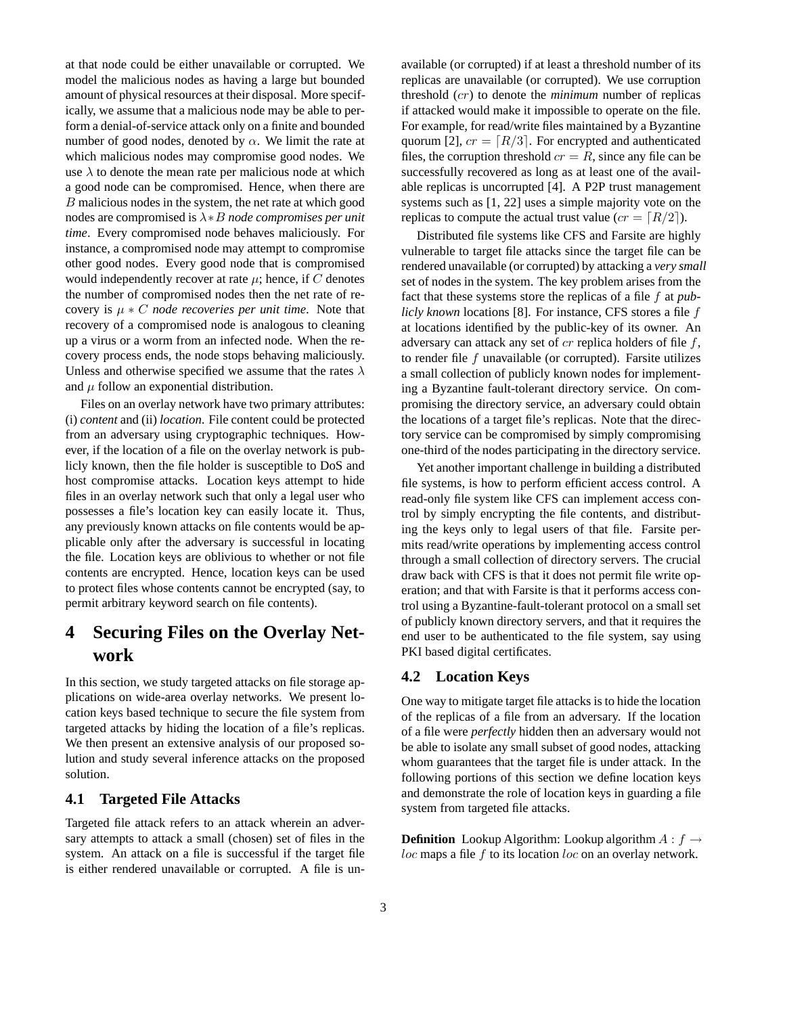at that node could be either unavailable or corrupted. We model the malicious nodes as having a large but bounded amount of physical resources at their disposal. More specifically, we assume that a malicious node may be able to perform a denial-of-service attack only on a finite and bounded number of good nodes, denoted by  $\alpha$ . We limit the rate at which malicious nodes may compromise good nodes. We use  $\lambda$  to denote the mean rate per malicious node at which a good node can be compromised. Hence, when there are B malicious nodes in the system, the net rate at which good nodes are compromised is λ∗B *node compromises per unit time*. Every compromised node behaves maliciously. For instance, a compromised node may attempt to compromise other good nodes. Every good node that is compromised would independently recover at rate  $\mu$ ; hence, if C denotes the number of compromised nodes then the net rate of recovery is  $\mu * C$  *node recoveries per unit time.* Note that recovery of a compromised node is analogous to cleaning up a virus or a worm from an infected node. When the recovery process ends, the node stops behaving maliciously. Unless and otherwise specified we assume that the rates  $\lambda$ and  $\mu$  follow an exponential distribution.

Files on an overlay network have two primary attributes: (i) *content* and (ii) *location*. File content could be protected from an adversary using cryptographic techniques. However, if the location of a file on the overlay network is publicly known, then the file holder is susceptible to DoS and host compromise attacks. Location keys attempt to hide files in an overlay network such that only a legal user who possesses a file's location key can easily locate it. Thus, any previously known attacks on file contents would be applicable only after the adversary is successful in locating the file. Location keys are oblivious to whether or not file contents are encrypted. Hence, location keys can be used to protect files whose contents cannot be encrypted (say, to permit arbitrary keyword search on file contents).

# **4 Securing Files on the Overlay Network**

In this section, we study targeted attacks on file storage applications on wide-area overlay networks. We present location keys based technique to secure the file system from targeted attacks by hiding the location of a file's replicas. We then present an extensive analysis of our proposed solution and study several inference attacks on the proposed solution.

### **4.1 Targeted File Attacks**

Targeted file attack refers to an attack wherein an adversary attempts to attack a small (chosen) set of files in the system. An attack on a file is successful if the target file is either rendered unavailable or corrupted. A file is unavailable (or corrupted) if at least a threshold number of its replicas are unavailable (or corrupted). We use corruption threshold (cr) to denote the *minimum* number of replicas if attacked would make it impossible to operate on the file. For example, for read/write files maintained by a Byzantine quorum [2],  $cr = [R/3]$ . For encrypted and authenticated files, the corruption threshold  $cr = R$ , since any file can be successfully recovered as long as at least one of the available replicas is uncorrupted [4]. A P2P trust management systems such as [1, 22] uses a simple majority vote on the replicas to compute the actual trust value ( $cr = [R/2]$ ).

Distributed file systems like CFS and Farsite are highly vulnerable to target file attacks since the target file can be rendered unavailable (or corrupted) by attacking a *very small* set of nodes in the system. The key problem arises from the fact that these systems store the replicas of a file f at *publicly known* locations [8]. For instance, CFS stores a file f at locations identified by the public-key of its owner. An adversary can attack any set of  $cr$  replica holders of file  $f$ , to render file  $f$  unavailable (or corrupted). Farsite utilizes a small collection of publicly known nodes for implementing a Byzantine fault-tolerant directory service. On compromising the directory service, an adversary could obtain the locations of a target file's replicas. Note that the directory service can be compromised by simply compromising one-third of the nodes participating in the directory service.

Yet another important challenge in building a distributed file systems, is how to perform efficient access control. A read-only file system like CFS can implement access control by simply encrypting the file contents, and distributing the keys only to legal users of that file. Farsite permits read/write operations by implementing access control through a small collection of directory servers. The crucial draw back with CFS is that it does not permit file write operation; and that with Farsite is that it performs access control using a Byzantine-fault-tolerant protocol on a small set of publicly known directory servers, and that it requires the end user to be authenticated to the file system, say using PKI based digital certificates.

### **4.2 Location Keys**

One way to mitigate target file attacks is to hide the location of the replicas of a file from an adversary. If the location of a file were *perfectly* hidden then an adversary would not be able to isolate any small subset of good nodes, attacking whom guarantees that the target file is under attack. In the following portions of this section we define location keys and demonstrate the role of location keys in guarding a file system from targeted file attacks.

**Definition** Lookup Algorithm: Lookup algorithm  $A : f \rightarrow$ loc maps a file f to its location loc on an overlay network.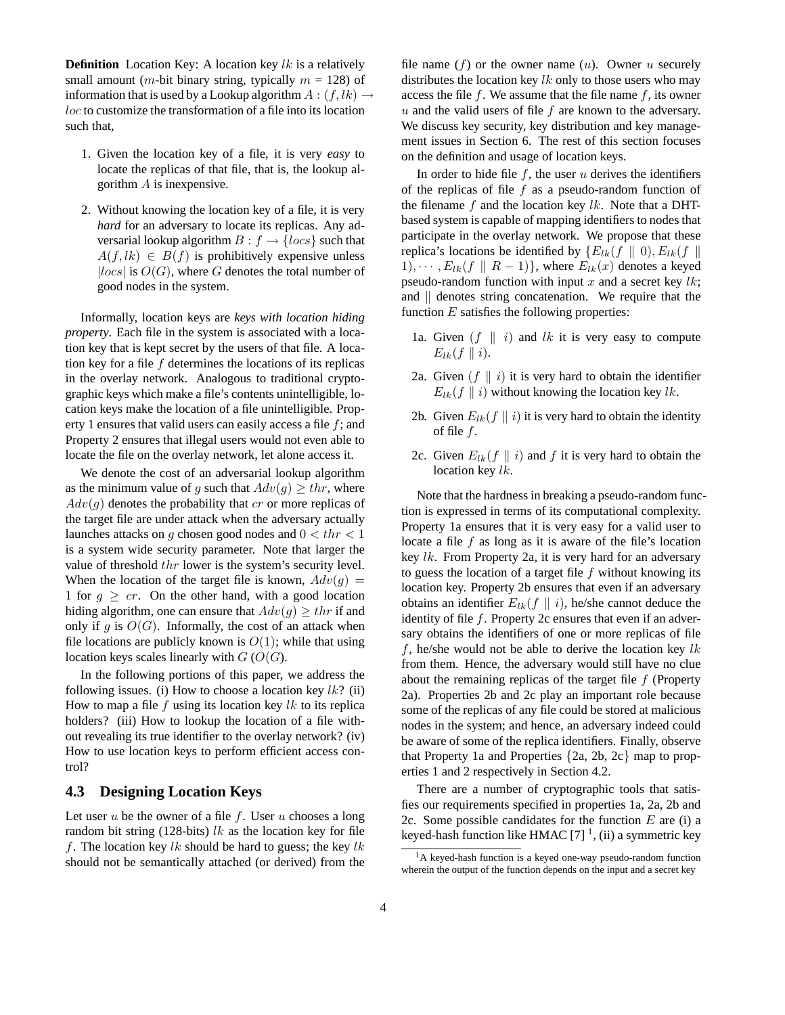**Definition** Location Key: A location key  $lk$  is a relatively small amount (*m*-bit binary string, typically  $m = 128$ ) of information that is used by a Lookup algorithm  $A : (f, lk) \rightarrow$ loc to customize the transformation of a file into its location such that,

- 1. Given the location key of a file, it is very *easy* to locate the replicas of that file, that is, the lookup algorithm A is inexpensive.
- 2. Without knowing the location key of a file, it is very *hard* for an adversary to locate its replicas. Any adversarial lookup algorithm  $B : f \rightarrow \{ \text{locs} \}$  such that  $A(f, lk) \in B(f)$  is prohibitively expensive unless  $|locs|$  is  $O(G)$ , where G denotes the total number of good nodes in the system.

Informally, location keys are *keys with location hiding property*. Each file in the system is associated with a location key that is kept secret by the users of that file. A location key for a file  $f$  determines the locations of its replicas in the overlay network. Analogous to traditional cryptographic keys which make a file's contents unintelligible, location keys make the location of a file unintelligible. Property 1 ensures that valid users can easily access a file f; and Property 2 ensures that illegal users would not even able to locate the file on the overlay network, let alone access it.

We denote the cost of an adversarial lookup algorithm as the minimum value of g such that  $Adv(q) \geq thr$ , where  $Adv(q)$  denotes the probability that cr or more replicas of the target file are under attack when the adversary actually launches attacks on g chosen good nodes and  $0 < thr < 1$ is a system wide security parameter. Note that larger the value of threshold thr lower is the system's security level. When the location of the target file is known,  $Adv(g)$  = 1 for  $g \geq cr$ . On the other hand, with a good location hiding algorithm, one can ensure that  $Adv(g) \geq thr$  if and only if g is  $O(G)$ . Informally, the cost of an attack when file locations are publicly known is  $O(1)$ ; while that using location keys scales linearly with  $G$  ( $O(G)$ .

In the following portions of this paper, we address the following issues. (i) How to choose a location key  $lk$ ? (ii) How to map a file  $f$  using its location key  $lk$  to its replica holders? (iii) How to lookup the location of a file without revealing its true identifier to the overlay network? (iv) How to use location keys to perform efficient access control?

### **4.3 Designing Location Keys**

Let user  $u$  be the owner of a file  $f$ . User  $u$  chooses a long random bit string (128-bits) lk as the location key for file f. The location key lk should be hard to guess; the key lk should not be semantically attached (or derived) from the file name  $(f)$  or the owner name  $(u)$ . Owner u securely distributes the location key  $lk$  only to those users who may access the file f. We assume that the file name f, its owner  $u$  and the valid users of file  $f$  are known to the adversary. We discuss key security, key distribution and key management issues in Section 6. The rest of this section focuses on the definition and usage of location keys.

In order to hide file  $f$ , the user  $u$  derives the identifiers of the replicas of file  $f$  as a pseudo-random function of the filename  $f$  and the location key lk. Note that a DHTbased system is capable of mapping identifiers to nodes that participate in the overlay network. We propose that these replica's locations be identified by  $\{E_{lk}(f \parallel 0), E_{lk}(f \parallel$ 1),  $\cdots$ ,  $E_{lk}(f \parallel R-1)$ , where  $E_{lk}(x)$  denotes a keyed pseudo-random function with input  $x$  and a secret key  $lk$ ; and  $\parallel$  denotes string concatenation. We require that the function  $E$  satisfies the following properties:

- 1a. Given  $(f \parallel i)$  and lk it is very easy to compute  $E_{lk}(f || i).$
- 2a. Given  $(f \parallel i)$  it is very hard to obtain the identifier  $E_{lk}(f || i)$  without knowing the location key lk.
- 2b. Given  $E_{lk}(f || i)$  it is very hard to obtain the identity of file  $f$ .
- 2c. Given  $E_{lk}(f || i)$  and f it is very hard to obtain the location key  $lk$ .

Note that the hardnessin breaking a pseudo-random function is expressed in terms of its computational complexity. Property 1a ensures that it is very easy for a valid user to locate a file  $f$  as long as it is aware of the file's location key lk. From Property 2a, it is very hard for an adversary to guess the location of a target file  $f$  without knowing its location key. Property 2b ensures that even if an adversary obtains an identifier  $E_{lk}(f || i)$ , he/she cannot deduce the identity of file  $f$ . Property 2c ensures that even if an adversary obtains the identifiers of one or more replicas of file f, he/she would not be able to derive the location key  $lk$ from them. Hence, the adversary would still have no clue about the remaining replicas of the target file  $f$  (Property 2a). Properties 2b and 2c play an important role because some of the replicas of any file could be stored at malicious nodes in the system; and hence, an adversary indeed could be aware of some of the replica identifiers. Finally, observe that Property 1a and Properties {2a, 2b, 2c} map to properties 1 and 2 respectively in Section 4.2.

There are a number of cryptographic tools that satisfies our requirements specified in properties 1a, 2a, 2b and 2c. Some possible candidates for the function  $E$  are (i) a keyed-hash function like HMAC  $[7]$ <sup>1</sup>, (ii) a symmetric key

<sup>&</sup>lt;sup>1</sup>A keyed-hash function is a keyed one-way pseudo-random function wherein the output of the function depends on the input and a secret key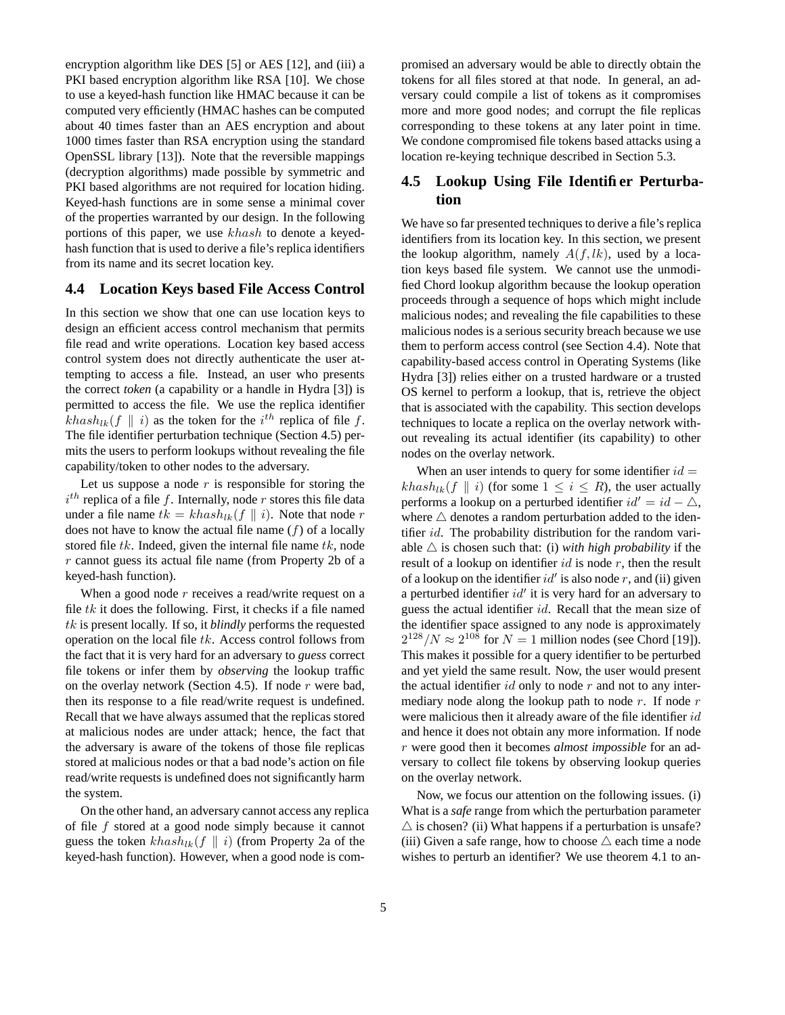encryption algorithm like DES [5] or AES [12], and (iii) a PKI based encryption algorithm like RSA [10]. We chose to use a keyed-hash function like HMAC because it can be computed very efficiently (HMAC hashes can be computed about 40 times faster than an AES encryption and about 1000 times faster than RSA encryption using the standard OpenSSL library [13]). Note that the reversible mappings (decryption algorithms) made possible by symmetric and PKI based algorithms are not required for location hiding. Keyed-hash functions are in some sense a minimal cover of the properties warranted by our design. In the following portions of this paper, we use khash to denote a keyedhash function that is used to derive a file's replica identifiers from its name and its secret location key.

### **4.4 Location Keys based File Access Control**

In this section we show that one can use location keys to design an efficient access control mechanism that permits file read and write operations. Location key based access control system does not directly authenticate the user attempting to access a file. Instead, an user who presents the correct *token* (a capability or a handle in Hydra [3]) is permitted to access the file. We use the replica identifier  $khash_{lk}(f \parallel i)$  as the token for the  $i^{th}$  replica of file f. The file identifier perturbation technique (Section 4.5) permits the users to perform lookups without revealing the file capability/token to other nodes to the adversary.

Let us suppose a node  $r$  is responsible for storing the  $i^{th}$  replica of a file f. Internally, node r stores this file data under a file name  $tk = khash_{lk}(f || i)$ . Note that node r does not have to know the actual file name  $(f)$  of a locally stored file  $tk$ . Indeed, given the internal file name  $tk$ , node r cannot guess its actual file name (from Property 2b of a keyed-hash function).

When a good node r receives a read/write request on a file  $tk$  it does the following. First, it checks if a file named tk is present locally. If so, it *blindly* performs the requested operation on the local file  $tk$ . Access control follows from the fact that it is very hard for an adversary to *guess* correct file tokens or infer them by *observing* the lookup traffic on the overlay network (Section 4.5). If node  $r$  were bad, then its response to a file read/write request is undefined. Recall that we have always assumed that the replicas stored at malicious nodes are under attack; hence, the fact that the adversary is aware of the tokens of those file replicas stored at malicious nodes or that a bad node's action on file read/write requests is undefined does not significantly harm the system.

On the other hand, an adversary cannot access any replica of file  $f$  stored at a good node simply because it cannot guess the token  $khash_{lk}(f || i)$  (from Property 2a of the keyed-hash function). However, when a good node is compromised an adversary would be able to directly obtain the tokens for all files stored at that node. In general, an adversary could compile a list of tokens as it compromises more and more good nodes; and corrupt the file replicas corresponding to these tokens at any later point in time. We condone compromised file tokens based attacks using a location re-keying technique described in Section 5.3.

## **4.5 Lookup Using File Identifier Perturbation**

We have so far presented techniques to derive a file's replica identifiers from its location key. In this section, we present the lookup algorithm, namely  $A(f, lk)$ , used by a location keys based file system. We cannot use the unmodified Chord lookup algorithm because the lookup operation proceeds through a sequence of hops which might include malicious nodes; and revealing the file capabilities to these malicious nodes is a serious security breach because we use them to perform access control (see Section 4.4). Note that capability-based access control in Operating Systems (like Hydra [3]) relies either on a trusted hardware or a trusted OS kernel to perform a lookup, that is, retrieve the object that is associated with the capability. This section develops techniques to locate a replica on the overlay network without revealing its actual identifier (its capability) to other nodes on the overlay network.

When an user intends to query for some identifier  $id =$ khash<sub>lk</sub>(f  $\parallel$  i) (for some  $1 \le i \le R$ ), the user actually performs a lookup on a perturbed identifier  $id' = id - \triangle$ , where  $\triangle$  denotes a random perturbation added to the identifier id. The probability distribution for the random variable  $\triangle$  is chosen such that: (i) *with high probability* if the result of a lookup on identifier  $id$  is node r, then the result of a lookup on the identifier  $id'$  is also node r, and (ii) given a perturbed identifier  $id'$  it is very hard for an adversary to guess the actual identifier id. Recall that the mean size of the identifier space assigned to any node is approximately  $2^{128}/N \approx 2^{108}$  for  $N = 1$  million nodes (see Chord [19]). This makes it possible for a query identifier to be perturbed and yet yield the same result. Now, the user would present the actual identifier  $id$  only to node r and not to any intermediary node along the lookup path to node  $r$ . If node  $r$ were malicious then it already aware of the file identifier id and hence it does not obtain any more information. If node r were good then it becomes *almost impossible* for an adversary to collect file tokens by observing lookup queries on the overlay network.

Now, we focus our attention on the following issues. (i) What is a *safe* range from which the perturbation parameter  $\triangle$  is chosen? (ii) What happens if a perturbation is unsafe? (iii) Given a safe range, how to choose  $\triangle$  each time a node wishes to perturb an identifier? We use theorem 4.1 to an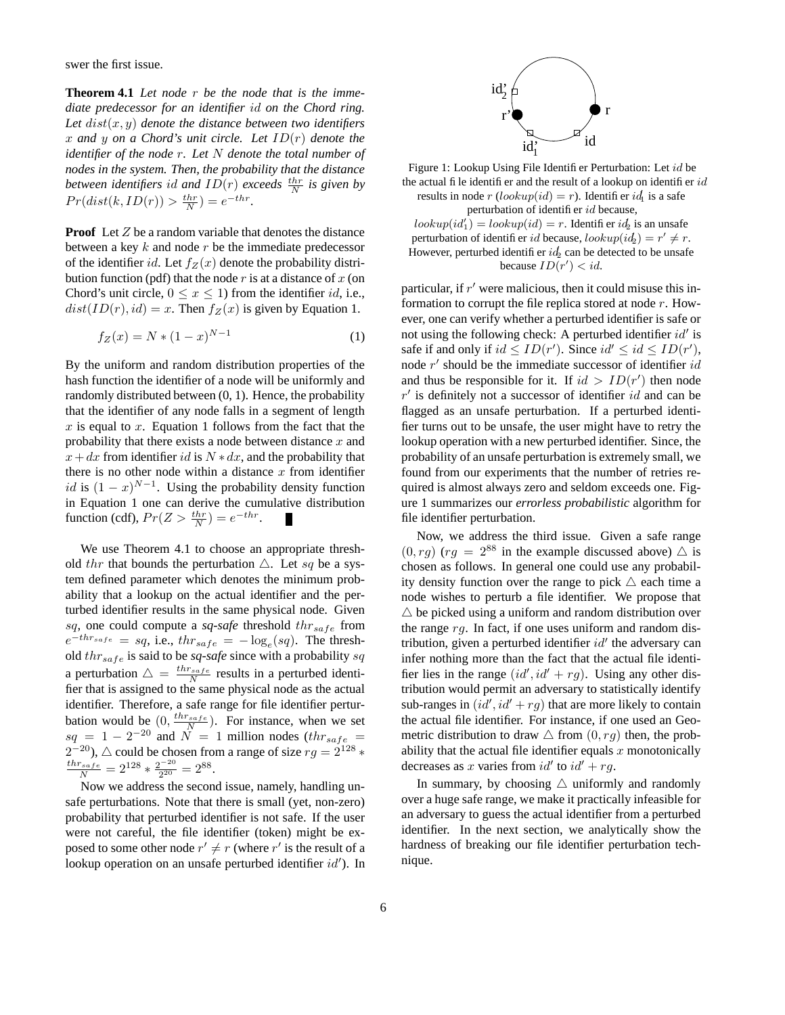swer the first issue.

**Theorem 4.1** *Let node* r *be the node that is the immediate predecessor for an identifier* id *on the Chord ring.* Let  $dist(x, y)$  *denote the distance between two identifiers* x *and* y *on a Chord's unit circle. Let* ID(r) *denote the identifier of the node* r*. Let* N *denote the total number of nodes in the system. Then, the probability that the distance between identifiers id and*  $ID(r)$  *exceeds*  $\frac{thr}{N}$  *is given by*  $Pr(dist(k, ID(r)) > \frac{thr}{N}) = e^{-thr}.$ 

**Proof** Let Z be a random variable that denotes the distance between a key  $k$  and node  $r$  be the immediate predecessor of the identifier id. Let  $f_Z(x)$  denote the probability distribution function (pdf) that the node  $r$  is at a distance of  $x$  (on Chord's unit circle,  $0 \le x \le 1$ ) from the identifier *id*, i.e.,  $dist(ID(r), id) = x$ . Then  $f_Z(x)$  is given by Equation 1.

$$
f_Z(x) = N * (1 - x)^{N - 1}
$$
 (1)

By the uniform and random distribution properties of the hash function the identifier of a node will be uniformly and randomly distributed between (0, 1). Hence, the probability that the identifier of any node falls in a segment of length  $x$  is equal to  $x$ . Equation 1 follows from the fact that the probability that there exists a node between distance  $x$  and  $x + dx$  from identifier id is  $N * dx$ , and the probability that there is no other node within a distance  $x$  from identifier id is  $(1-x)^{N-1}$ . Using the probability density function in Equation 1 one can derive the cumulative distribution function (cdf),  $Pr(Z > \frac{thr}{N}) = e^{-thr}$ .

We use Theorem 4.1 to choose an appropriate threshold thr that bounds the perturbation  $\triangle$ . Let sq be a system defined parameter which denotes the minimum probability that a lookup on the actual identifier and the perturbed identifier results in the same physical node. Given sq, one could compute a sq-safe threshold  $thr_{safe}$  from  $e^{-thr_{safe}} = sq$ , i.e.,  $thr_{safe} = -\log_e(sq)$ . The threshold  $thr_{safe}$  is said to be *sq-safe* since with a probability sq a perturbation  $\Delta = \frac{thr_{safe}}{N}$  results in a perturbed identifier that is assigned to the same physical node as the actual identifier. Therefore, a safe range for file identifier perturbation would be  $(0, \frac{thr_{safe}}{N})$ . For instance, when we set  $sq = 1 - 2^{-20}$  and  $N = 1$  million nodes (th $r_{safe}$ )  $2^{-20}$ ),  $\triangle$  could be chosen from a range of size  $rg = 2^{128}$  \*  $\frac{thr_{safe}}{N} = 2^{128} * \frac{2^{-20}}{2^{20}}$  $\frac{2^{20}}{2^{20}} = 2^{88}.$ 

Now we address the second issue, namely, handling unsafe perturbations. Note that there is small (yet, non-zero) probability that perturbed identifier is not safe. If the user were not careful, the file identifier (token) might be exposed to some other node  $r' \neq r$  (where r' is the result of a lookup operation on an unsafe perturbed identifier  $id'$ ). In



Figure 1: Lookup Using File Identifier Perturbation: Let id be the actual file identifier and the result of a lookup on identifier  $id$ results in node  $r \left( \text{lookup}(\text{id}) = r \right)$ . Identifier  $id_1$  is a safe perturbation of identifier  $id$  because,

 $\ell = \ell_0 \log(\ell_1 d_1) = \ell_0 \log(\ell_1 d_2) = r.$  Identifier  $i d_2$  is an unsafer perturbation of identifier id because,  $lookup(id_2) = r' \neq r$ . However, perturbed identifier  $id_2$  can be detected to be unsafe because  $ID(r') < id$ .

particular, if  $r'$  were malicious, then it could misuse this information to corrupt the file replica stored at node r. However, one can verify whether a perturbed identifier is safe or not using the following check: A perturbed identifier  $id'$  is safe if and only if  $id \leq ID(r')$ . Since  $id' \leq id \leq ID(r')$ , node  $r'$  should be the immediate successor of identifier  $id$ and thus be responsible for it. If  $id > ID(r')$  then node  $r'$  is definitely not a successor of identifier  $id$  and can be flagged as an unsafe perturbation. If a perturbed identifier turns out to be unsafe, the user might have to retry the lookup operation with a new perturbed identifier. Since, the probability of an unsafe perturbation is extremely small, we found from our experiments that the number of retries required is almost always zero and seldom exceeds one. Figure 1 summarizes our *errorless probabilistic* algorithm for file identifier perturbation.

Now, we address the third issue. Given a safe range  $(0, rg)$   $(rg = 2^{88}$  in the example discussed above)  $\triangle$  is chosen as follows. In general one could use any probability density function over the range to pick  $\triangle$  each time a node wishes to perturb a file identifier. We propose that  $\triangle$  be picked using a uniform and random distribution over the range rg. In fact, if one uses uniform and random distribution, given a perturbed identifier  $id'$  the adversary can infer nothing more than the fact that the actual file identifier lies in the range  $(id', id' + rg)$ . Using any other distribution would permit an adversary to statistically identify sub-ranges in  $(id', id' + rg)$  that are more likely to contain the actual file identifier. For instance, if one used an Geometric distribution to draw  $\triangle$  from  $(0, rg)$  then, the probability that the actual file identifier equals  $x$  monotonically decreases as x varies from  $id'$  to  $id' + rg$ .

In summary, by choosing  $\triangle$  uniformly and randomly over a huge safe range, we make it practically infeasible for an adversary to guess the actual identifier from a perturbed identifier. In the next section, we analytically show the hardness of breaking our file identifier perturbation technique.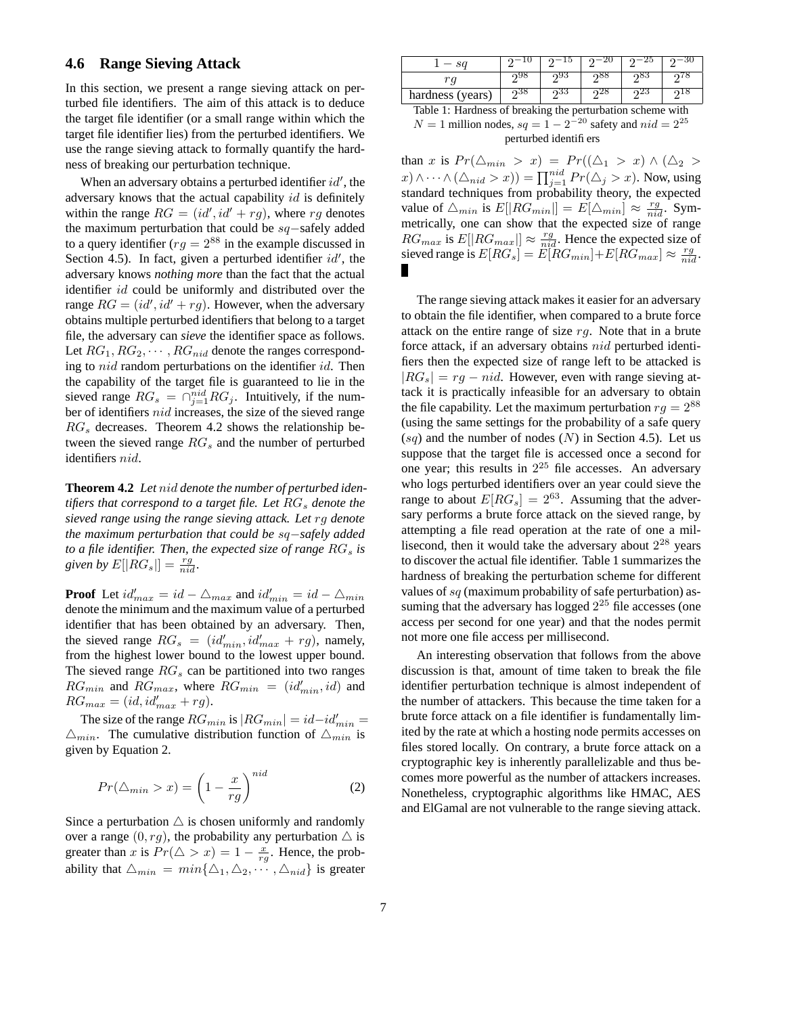### **4.6 Range Sieving Attack**

In this section, we present a range sieving attack on perturbed file identifiers. The aim of this attack is to deduce the target file identifier (or a small range within which the target file identifier lies) from the perturbed identifiers. We use the range sieving attack to formally quantify the hardness of breaking our perturbation technique.

When an adversary obtains a perturbed identifier  $id'$ , the adversary knows that the actual capability  $id$  is definitely within the range  $RG = (id', id' + rg)$ , where rg denotes the maximum perturbation that could be sq−safely added to a query identifier ( $rg = 2^{88}$  in the example discussed in Section 4.5). In fact, given a perturbed identifier  $id'$ , the adversary knows *nothing more* than the fact that the actual identifier *id* could be uniformly and distributed over the range  $RG = (id', id' + rg)$ . However, when the adversary obtains multiple perturbed identifiers that belong to a target file, the adversary can *sieve* the identifier space as follows. Let  $RG_1, RG_2, \cdots, RG_{nid}$  denote the ranges corresponding to nid random perturbations on the identifier id. Then the capability of the target file is guaranteed to lie in the sieved range  $RG_s = \bigcap_{j=1}^{nid} RG_j$ . Intuitively, if the number of identifiers nid increases, the size of the sieved range  $RG<sub>s</sub>$  decreases. Theorem 4.2 shows the relationship between the sieved range  $RG_s$  and the number of perturbed identifiers nid.

**Theorem 4.2** *Let* nid *denote the number of perturbed identifiers that correspond to a target file. Let*  $RG_s$  *denote the sieved range using the range sieving attack. Let* rg *denote the maximum perturbation that could be* sq−*safely added to a file identifier. Then, the expected size of range*  $RG_s$  *is* given by  $E[|RG_s|] = \frac{rg}{nid}$ .

**Proof** Let  $id'_{max} = id - \triangle_{max}$  and  $id'_{min} = id - \triangle_{min}$ denote the minimum and the maximum value of a perturbed identifier that has been obtained by an adversary. Then, the sieved range  $RG_s = (id'_{min}, id'_{max} + rg)$ , namely, from the highest lower bound to the lowest upper bound. The sieved range  $RG_s$  can be partitioned into two ranges  $RG_{min}$  and  $RG_{max}$ , where  $RG_{min} = (id'_{min}, id)$  and  $RG_{max} = (id, id'_{max} + rg).$ 

The size of the range  $RG_{min}$  is  $|RG_{min}| = id - id'_{min} =$  $\Delta_{min}$ . The cumulative distribution function of  $\Delta_{min}$  is given by Equation 2.

$$
Pr(\triangle_{min} > x) = \left(1 - \frac{x}{rg}\right)^{nid} \tag{2}
$$

Since a perturbation  $\triangle$  is chosen uniformly and randomly over a range  $(0, rg)$ , the probability any perturbation  $\triangle$  is greater than x is  $Pr(\triangle > x) = 1 - \frac{x}{rg}$ . Hence, the probability that  $\Delta_{min} = min\{\Delta_1, \Delta_2, \cdots, \Delta_{nid}\}\$ is greater

|                  |           |        |        |    | 3U            |
|------------------|-----------|--------|--------|----|---------------|
| rα               |           |        |        |    |               |
| hardness (years) | റാറ്      | იაა    | 40     | ∠⊾ |               |
| ___<br>.         | .<br>$ -$ | $\sim$ | $\sim$ |    | $\sim$ $\sim$ |

Table 1: Hardness of breaking the perturbation scheme with  $N = 1$  million nodes,  $sq = 1 - 2^{-20}$  safety and  $nid = 2^{25}$ 

perturbed identifiers

than x is  $Pr(\Delta_{min} > x) = Pr((\Delta_1 > x) \wedge (\Delta_2 >$  $(x) \wedge \cdots \wedge (\triangle_{nid} > x)) = \prod_{j=1}^{nid} Pr(\triangle_j > x)$ . Now, using standard techniques from probability theory, the expected value of  $\triangle_{min}$  is  $E[|RG_{min}|] = E[\triangle_{min}] \approx \frac{rg}{nid}$ . Symmetrically, one can show that the expected size of range  $RG_{max}$  is  $E[|RG_{max}|] \approx \frac{rg}{nid}$ . Hence the expected size of sieved range is  $E[RG_s] = E[RG_{min}] + E[RG_{max}] \approx \frac{rg}{nid}$ .

The range sieving attack makes it easier for an adversary to obtain the file identifier, when compared to a brute force attack on the entire range of size  $rg$ . Note that in a brute force attack, if an adversary obtains nid perturbed identifiers then the expected size of range left to be attacked is  $|RG_s| = rq - nid$ . However, even with range sieving attack it is practically infeasible for an adversary to obtain the file capability. Let the maximum perturbation  $rg = 2^{88}$ (using the same settings for the probability of a safe query  $(sq)$  and the number of nodes  $(N)$  in Section 4.5). Let us suppose that the target file is accessed once a second for one year; this results in  $2^{25}$  file accesses. An adversary who logs perturbed identifiers over an year could sieve the range to about  $E[RG_s] = 2^{63}$ . Assuming that the adversary performs a brute force attack on the sieved range, by attempting a file read operation at the rate of one a millisecond, then it would take the adversary about  $2^{28}$  years to discover the actual file identifier. Table 1 summarizes the hardness of breaking the perturbation scheme for different values of  $sq$  (maximum probability of safe perturbation) assuming that the adversary has logged  $2^{25}$  file accesses (one access per second for one year) and that the nodes permit not more one file access per millisecond.

An interesting observation that follows from the above discussion is that, amount of time taken to break the file identifier perturbation technique is almost independent of the number of attackers. This because the time taken for a brute force attack on a file identifier is fundamentally limited by the rate at which a hosting node permits accesses on files stored locally. On contrary, a brute force attack on a cryptographic key is inherently parallelizable and thus becomes more powerful as the number of attackers increases. Nonetheless, cryptographic algorithms like HMAC, AES and ElGamal are not vulnerable to the range sieving attack.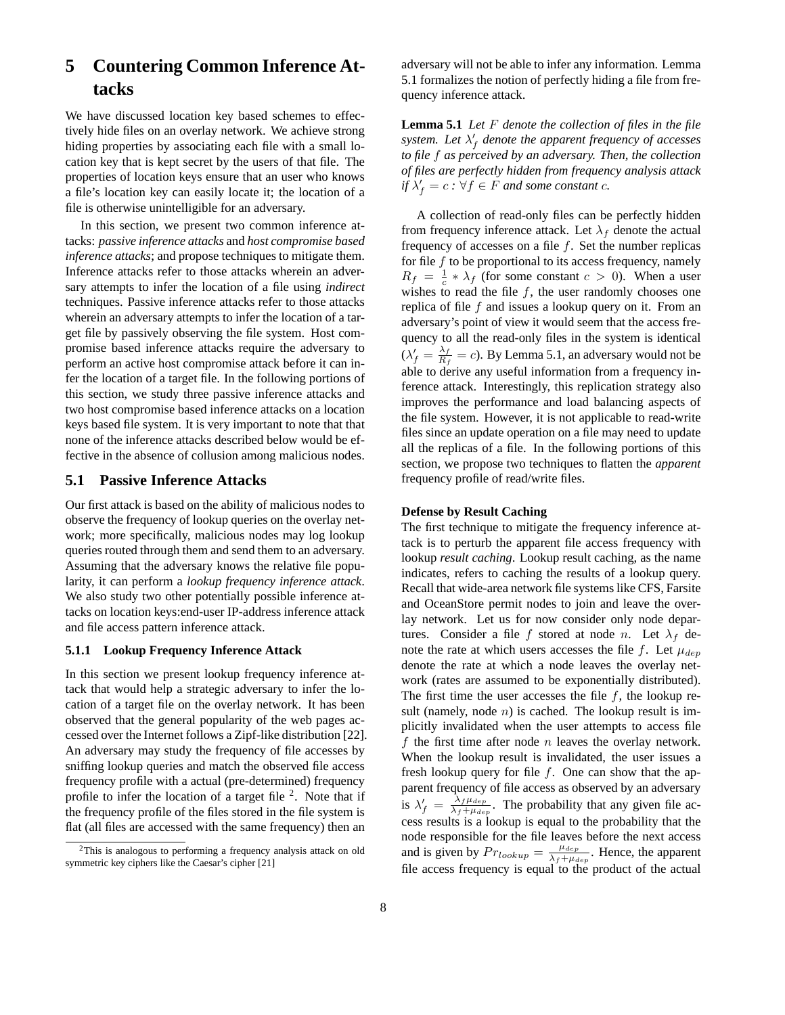# **5 Countering Common Inference Attacks**

We have discussed location key based schemes to effectively hide files on an overlay network. We achieve strong hiding properties by associating each file with a small location key that is kept secret by the users of that file. The properties of location keys ensure that an user who knows a file's location key can easily locate it; the location of a file is otherwise unintelligible for an adversary.

In this section, we present two common inference attacks: *passive inference attacks* and *host compromise based inference attacks*; and propose techniques to mitigate them. Inference attacks refer to those attacks wherein an adversary attempts to infer the location of a file using *indirect* techniques. Passive inference attacks refer to those attacks wherein an adversary attempts to infer the location of a target file by passively observing the file system. Host compromise based inference attacks require the adversary to perform an active host compromise attack before it can infer the location of a target file. In the following portions of this section, we study three passive inference attacks and two host compromise based inference attacks on a location keys based file system. It is very important to note that that none of the inference attacks described below would be effective in the absence of collusion among malicious nodes.

### **5.1 Passive Inference Attacks**

Our first attack is based on the ability of malicious nodes to observe the frequency of lookup queries on the overlay network; more specifically, malicious nodes may log lookup queries routed through them and send them to an adversary. Assuming that the adversary knows the relative file popularity, it can perform a *lookup frequency inference attack*. We also study two other potentially possible inference attacks on location keys:end-user IP-address inference attack and file access pattern inference attack.

#### **5.1.1 Lookup Frequency Inference Attack**

In this section we present lookup frequency inference attack that would help a strategic adversary to infer the location of a target file on the overlay network. It has been observed that the general popularity of the web pages accessed over the Internet follows a Zipf-like distribution [22]. An adversary may study the frequency of file accesses by sniffing lookup queries and match the observed file access frequency profile with a actual (pre-determined) frequency profile to infer the location of a target file  $2$ . Note that if the frequency profile of the files stored in the file system is flat (all files are accessed with the same frequency) then an adversary will not be able to infer any information. Lemma 5.1 formalizes the notion of perfectly hiding a file from frequency inference attack.

**Lemma 5.1** *Let* F *denote the collection of files in the file*  $s$ *ystem.* Let  $\lambda'_{f}$  denote the apparent frequency of accesses *to file* f *as perceived by an adversary. Then, the collection of files are perfectly hidden from frequency analysis attack*  $\int f \, dA = c : \forall f \in F$  *and some constant c.* 

A collection of read-only files can be perfectly hidden from frequency inference attack. Let  $\lambda_f$  denote the actual frequency of accesses on a file  $f$ . Set the number replicas for file  $f$  to be proportional to its access frequency, namely  $R_f = \frac{1}{c} * \lambda_f$  (for some constant  $c > 0$ ). When a user wishes to read the file  $f$ , the user randomly chooses one replica of file f and issues a lookup query on it. From an adversary's point of view it would seem that the access frequency to all the read-only files in the system is identical  $(\lambda'_f = \frac{\lambda_f}{R_f})$  $\frac{\Delta_f}{R_f} = c$ ). By Lemma 5.1, an adversary would not be able to derive any useful information from a frequency inference attack. Interestingly, this replication strategy also improves the performance and load balancing aspects of the file system. However, it is not applicable to read-write files since an update operation on a file may need to update all the replicas of a file. In the following portions of this section, we propose two techniques to flatten the *apparent* frequency profile of read/write files.

#### **Defense by Result Caching**

The first technique to mitigate the frequency inference attack is to perturb the apparent file access frequency with lookup *result caching*. Lookup result caching, as the name indicates, refers to caching the results of a lookup query. Recall that wide-area network file systems like CFS, Farsite and OceanStore permit nodes to join and leave the overlay network. Let us for now consider only node departures. Consider a file f stored at node n. Let  $\lambda_f$  denote the rate at which users accesses the file f. Let  $\mu_{dep}$ denote the rate at which a node leaves the overlay network (rates are assumed to be exponentially distributed). The first time the user accesses the file  $f$ , the lookup result (namely, node  $n$ ) is cached. The lookup result is implicitly invalidated when the user attempts to access file f the first time after node  $n$  leaves the overlay network. When the lookup result is invalidated, the user issues a fresh lookup query for file  $f$ . One can show that the apparent frequency of file access as observed by an adversary is  $\lambda'_f = \frac{\lambda_f \mu_{dep}}{\lambda_f + \mu_{dep}}$ . The probability that any given file access results is a lookup is equal to the probability that the node responsible for the file leaves before the next access and is given by  $Pr_{lookup} = \frac{\mu_{dep}}{\lambda_f + \mu_{dep}}$ . Hence, the apparent file access frequency is equal to the product of the actual

<sup>2</sup>This is analogous to performing a frequency analysis attack on old symmetric key ciphers like the Caesar's cipher [21]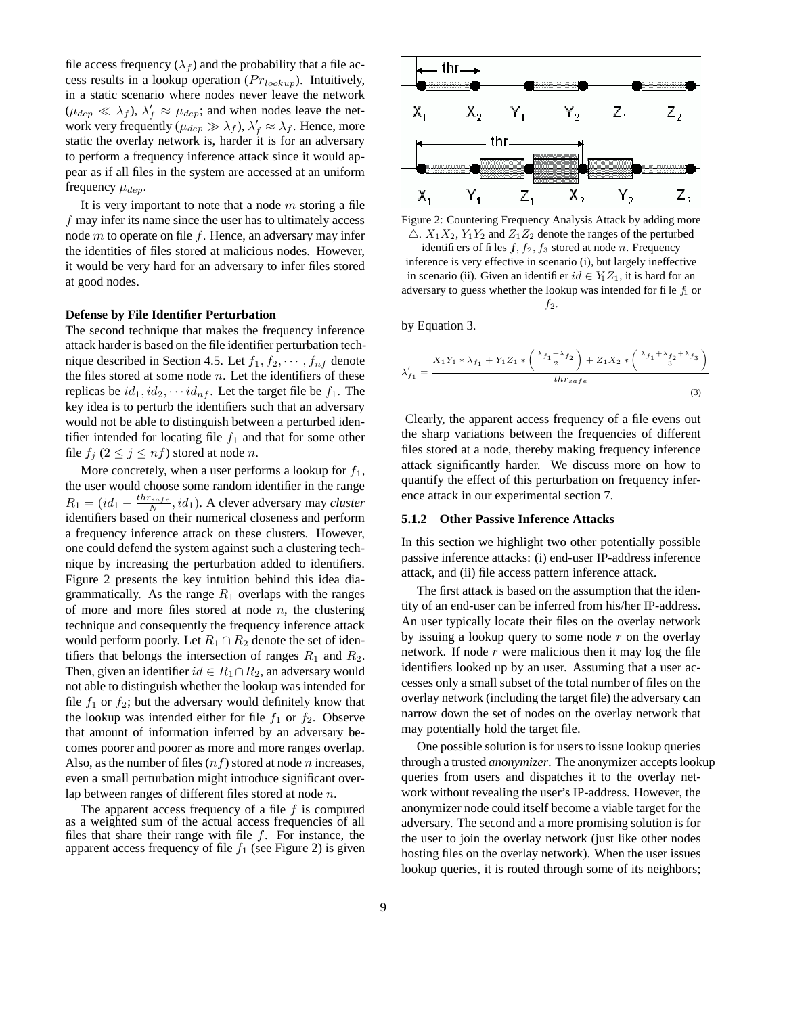file access frequency  $(\lambda_f)$  and the probability that a file access results in a lookup operation  $(Pr_{lookup})$ . Intuitively, in a static scenario where nodes never leave the network  $(\mu_{dep} \ll \lambda_f)$ ,  $\lambda'_f \approx \mu_{dep}$ ; and when nodes leave the network very frequently ( $\mu_{dep} \gg \lambda_f$ ),  $\lambda'_f \approx \lambda_f$ . Hence, more static the overlay network is, harder it is for an adversary to perform a frequency inference attack since it would appear as if all files in the system are accessed at an uniform frequency  $\mu_{dep}$ .

It is very important to note that a node  $m$  storing a file f may infer its name since the user has to ultimately access node  $m$  to operate on file  $f$ . Hence, an adversary may infer the identities of files stored at malicious nodes. However, it would be very hard for an adversary to infer files stored at good nodes.

#### **Defense by File Identifier Perturbation**

The second technique that makes the frequency inference attack harder is based on the file identifier perturbation technique described in Section 4.5. Let  $f_1, f_2, \dots, f_{nf}$  denote the files stored at some node  $n$ . Let the identifiers of these replicas be  $id_1, id_2, \cdots id_{nf}$ . Let the target file be  $f_1$ . The key idea is to perturb the identifiers such that an adversary would not be able to distinguish between a perturbed identifier intended for locating file  $f_1$  and that for some other file  $f_i$   $(2 \leq j \leq nf)$  stored at node n.

More concretely, when a user performs a lookup for  $f_1$ , the user would choose some random identifier in the range  $R_1 = (id_1 - \frac{thr_{safe}}{N}, id_1)$ . A clever adversary may *cluster* identifiers based on their numerical closeness and perform a frequency inference attack on these clusters. However, one could defend the system against such a clustering technique by increasing the perturbation added to identifiers. Figure 2 presents the key intuition behind this idea diagrammatically. As the range  $R_1$  overlaps with the ranges of more and more files stored at node  $n$ , the clustering technique and consequently the frequency inference attack would perform poorly. Let  $R_1 \cap R_2$  denote the set of identifiers that belongs the intersection of ranges  $R_1$  and  $R_2$ . Then, given an identifier  $id \in R_1 \cap R_2$ , an adversary would not able to distinguish whether the lookup was intended for file  $f_1$  or  $f_2$ ; but the adversary would definitely know that the lookup was intended either for file  $f_1$  or  $f_2$ . Observe that amount of information inferred by an adversary becomes poorer and poorer as more and more ranges overlap. Also, as the number of files  $(n f)$  stored at node n increases, even a small perturbation might introduce significant overlap between ranges of different files stored at node n.

The apparent access frequency of a file  $f$  is computed as a weighted sum of the actual access frequencies of all files that share their range with file  $f$ . For instance, the apparent access frequency of file  $f_1$  (see Figure 2) is given



Figure 2: Countering Frequency Analysis Attack by adding more  $\triangle$ .  $X_1X_2$ ,  $Y_1Y_2$  and  $Z_1Z_2$  denote the ranges of the perturbed identifiers of files  $f, f_2, f_3$  stored at node n. Frequency inference is very effective in scenario (i), but largely ineffective in scenario (ii). Given an identifier  $id \in Y_1Z_1$ , it is hard for an adversary to guess whether the lookup was intended for file  $f_1$  or  $f_2$ .

by Equation 3.

$$
\lambda'_{f_1} = \frac{X_1 Y_1 * \lambda_{f_1} + Y_1 Z_1 * \left(\frac{\lambda_{f_1} + \lambda_{f_2}}{2}\right) + Z_1 X_2 * \left(\frac{\lambda_{f_1} + \lambda_{f_2} + \lambda_{f_3}}{3}\right)}{thr_{safe}}
$$
\n(3)

Clearly, the apparent access frequency of a file evens out the sharp variations between the frequencies of different files stored at a node, thereby making frequency inference attack significantly harder. We discuss more on how to quantify the effect of this perturbation on frequency inference attack in our experimental section 7.

#### **5.1.2 Other Passive Inference Attacks**

In this section we highlight two other potentially possible passive inference attacks: (i) end-user IP-address inference attack, and (ii) file access pattern inference attack.

The first attack is based on the assumption that the identity of an end-user can be inferred from his/her IP-address. An user typically locate their files on the overlay network by issuing a lookup query to some node  $r$  on the overlay network. If node  $r$  were malicious then it may log the file identifiers looked up by an user. Assuming that a user accesses only a small subset of the total number of files on the overlay network (including the target file) the adversary can narrow down the set of nodes on the overlay network that may potentially hold the target file.

One possible solution is for users to issue lookup queries through a trusted *anonymizer*. The anonymizer accepts lookup queries from users and dispatches it to the overlay network without revealing the user's IP-address. However, the anonymizer node could itself become a viable target for the adversary. The second and a more promising solution is for the user to join the overlay network (just like other nodes hosting files on the overlay network). When the user issues lookup queries, it is routed through some of its neighbors;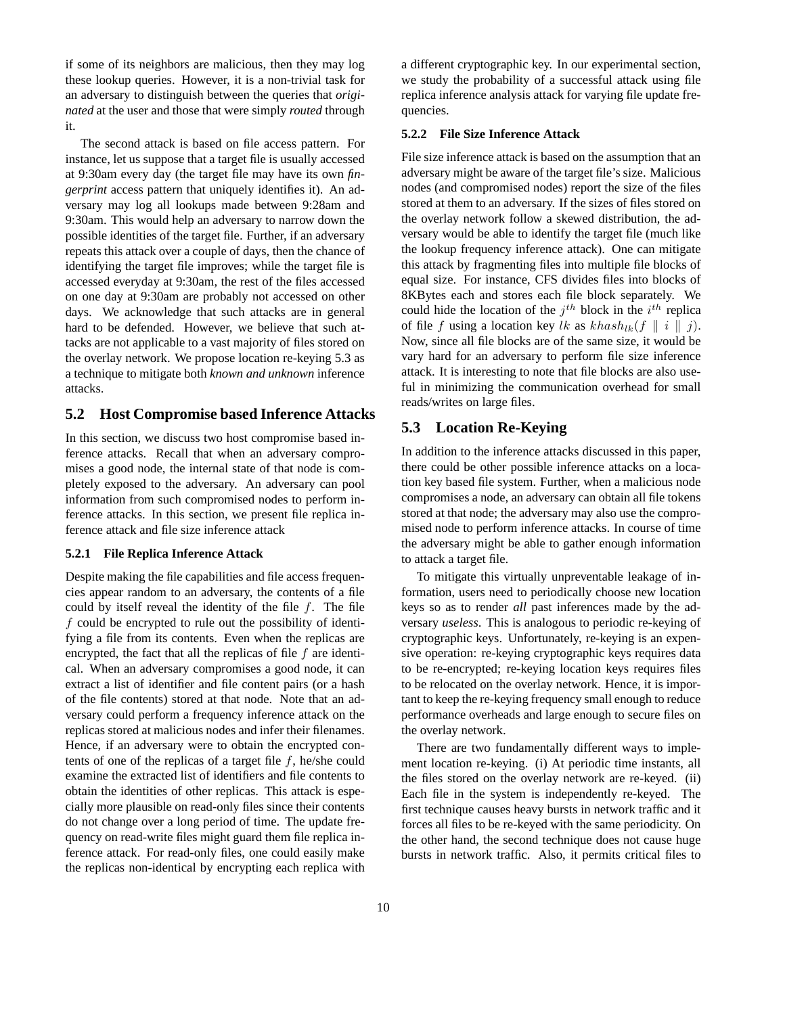if some of its neighbors are malicious, then they may log these lookup queries. However, it is a non-trivial task for an adversary to distinguish between the queries that *originated* at the user and those that were simply *routed* through it.

The second attack is based on file access pattern. For instance, let us suppose that a target file is usually accessed at 9:30am every day (the target file may have its own *fingerprint* access pattern that uniquely identifies it). An adversary may log all lookups made between 9:28am and 9:30am. This would help an adversary to narrow down the possible identities of the target file. Further, if an adversary repeats this attack over a couple of days, then the chance of identifying the target file improves; while the target file is accessed everyday at 9:30am, the rest of the files accessed on one day at 9:30am are probably not accessed on other days. We acknowledge that such attacks are in general hard to be defended. However, we believe that such attacks are not applicable to a vast majority of files stored on the overlay network. We propose location re-keying 5.3 as a technique to mitigate both *known and unknown* inference attacks.

### **5.2 Host Compromise based Inference Attacks**

In this section, we discuss two host compromise based inference attacks. Recall that when an adversary compromises a good node, the internal state of that node is completely exposed to the adversary. An adversary can pool information from such compromised nodes to perform inference attacks. In this section, we present file replica inference attack and file size inference attack

#### **5.2.1 File Replica Inference Attack**

Despite making the file capabilities and file access frequencies appear random to an adversary, the contents of a file could by itself reveal the identity of the file  $f$ . The file f could be encrypted to rule out the possibility of identifying a file from its contents. Even when the replicas are encrypted, the fact that all the replicas of file  $f$  are identical. When an adversary compromises a good node, it can extract a list of identifier and file content pairs (or a hash of the file contents) stored at that node. Note that an adversary could perform a frequency inference attack on the replicas stored at malicious nodes and infer their filenames. Hence, if an adversary were to obtain the encrypted contents of one of the replicas of a target file  $f$ , he/she could examine the extracted list of identifiers and file contents to obtain the identities of other replicas. This attack is especially more plausible on read-only files since their contents do not change over a long period of time. The update frequency on read-write files might guard them file replica inference attack. For read-only files, one could easily make the replicas non-identical by encrypting each replica with a different cryptographic key. In our experimental section, we study the probability of a successful attack using file replica inference analysis attack for varying file update frequencies.

#### **5.2.2 File Size Inference Attack**

File size inference attack is based on the assumption that an adversary might be aware of the target file's size. Malicious nodes (and compromised nodes) report the size of the files stored at them to an adversary. If the sizes of files stored on the overlay network follow a skewed distribution, the adversary would be able to identify the target file (much like the lookup frequency inference attack). One can mitigate this attack by fragmenting files into multiple file blocks of equal size. For instance, CFS divides files into blocks of 8KBytes each and stores each file block separately. We could hide the location of the  $j<sup>th</sup>$  block in the  $i<sup>th</sup>$  replica of file f using a location key lk as  $khash_{lk}(f \parallel i \parallel j)$ . Now, since all file blocks are of the same size, it would be vary hard for an adversary to perform file size inference attack. It is interesting to note that file blocks are also useful in minimizing the communication overhead for small reads/writes on large files.

### **5.3 Location Re-Keying**

In addition to the inference attacks discussed in this paper, there could be other possible inference attacks on a location key based file system. Further, when a malicious node compromises a node, an adversary can obtain all file tokens stored at that node; the adversary may also use the compromised node to perform inference attacks. In course of time the adversary might be able to gather enough information to attack a target file.

To mitigate this virtually unpreventable leakage of information, users need to periodically choose new location keys so as to render *all* past inferences made by the adversary *useless*. This is analogous to periodic re-keying of cryptographic keys. Unfortunately, re-keying is an expensive operation: re-keying cryptographic keys requires data to be re-encrypted; re-keying location keys requires files to be relocated on the overlay network. Hence, it is important to keep the re-keying frequency small enough to reduce performance overheads and large enough to secure files on the overlay network.

There are two fundamentally different ways to implement location re-keying. (i) At periodic time instants, all the files stored on the overlay network are re-keyed. (ii) Each file in the system is independently re-keyed. The first technique causes heavy bursts in network traffic and it forces all files to be re-keyed with the same periodicity. On the other hand, the second technique does not cause huge bursts in network traffic. Also, it permits critical files to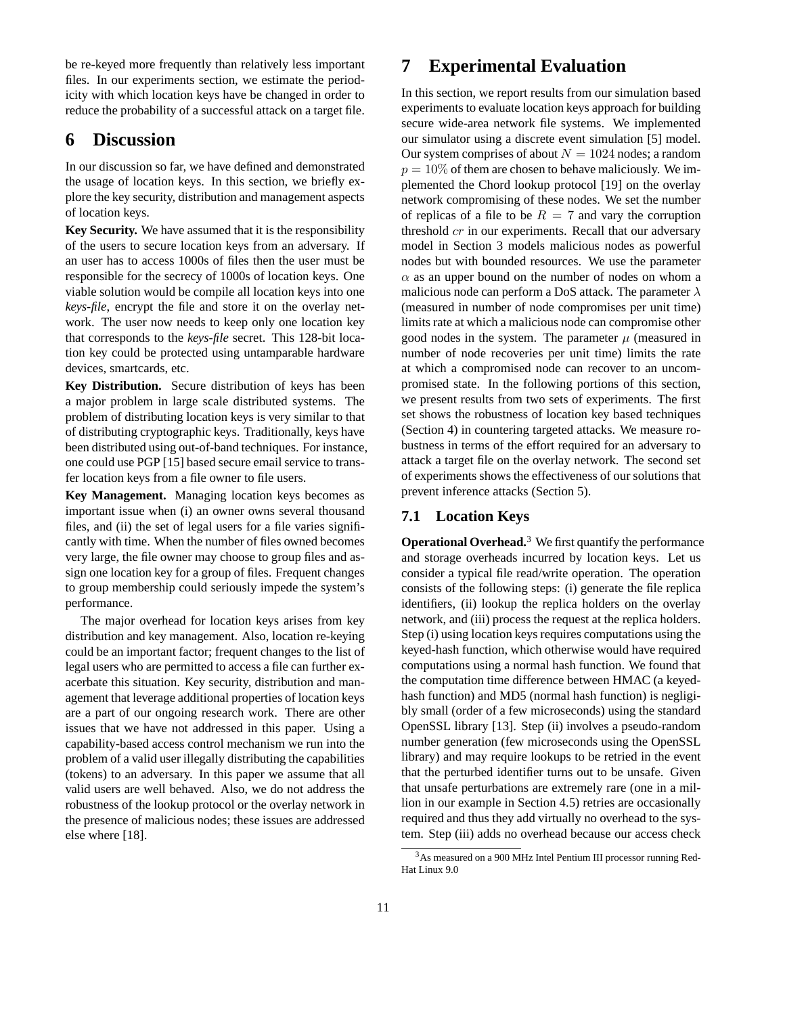be re-keyed more frequently than relatively less important files. In our experiments section, we estimate the periodicity with which location keys have be changed in order to reduce the probability of a successful attack on a target file.

# **6 Discussion**

In our discussion so far, we have defined and demonstrated the usage of location keys. In this section, we briefly explore the key security, distribution and management aspects of location keys.

**Key Security.** We have assumed that it is the responsibility of the users to secure location keys from an adversary. If an user has to access 1000s of files then the user must be responsible for the secrecy of 1000s of location keys. One viable solution would be compile all location keys into one *keys-file*, encrypt the file and store it on the overlay network. The user now needs to keep only one location key that corresponds to the *keys-file* secret. This 128-bit location key could be protected using untamparable hardware devices, smartcards, etc.

**Key Distribution.** Secure distribution of keys has been a major problem in large scale distributed systems. The problem of distributing location keys is very similar to that of distributing cryptographic keys. Traditionally, keys have been distributed using out-of-band techniques. For instance, one could use PGP [15] based secure email service to transfer location keys from a file owner to file users.

**Key Management.** Managing location keys becomes as important issue when (i) an owner owns several thousand files, and (ii) the set of legal users for a file varies significantly with time. When the number of files owned becomes very large, the file owner may choose to group files and assign one location key for a group of files. Frequent changes to group membership could seriously impede the system's performance.

The major overhead for location keys arises from key distribution and key management. Also, location re-keying could be an important factor; frequent changes to the list of legal users who are permitted to access a file can further exacerbate this situation. Key security, distribution and management that leverage additional properties of location keys are a part of our ongoing research work. There are other issues that we have not addressed in this paper. Using a capability-based access control mechanism we run into the problem of a valid user illegally distributing the capabilities (tokens) to an adversary. In this paper we assume that all valid users are well behaved. Also, we do not address the robustness of the lookup protocol or the overlay network in the presence of malicious nodes; these issues are addressed else where [18].

# **7 Experimental Evaluation**

In this section, we report results from our simulation based experiments to evaluate location keys approach for building secure wide-area network file systems. We implemented our simulator using a discrete event simulation [5] model. Our system comprises of about  $N = 1024$  nodes; a random  $p = 10\%$  of them are chosen to behave maliciously. We implemented the Chord lookup protocol [19] on the overlay network compromising of these nodes. We set the number of replicas of a file to be  $R = 7$  and vary the corruption threshold cr in our experiments. Recall that our adversary model in Section 3 models malicious nodes as powerful nodes but with bounded resources. We use the parameter  $\alpha$  as an upper bound on the number of nodes on whom a malicious node can perform a DoS attack. The parameter  $\lambda$ (measured in number of node compromises per unit time) limits rate at which a malicious node can compromise other good nodes in the system. The parameter  $\mu$  (measured in number of node recoveries per unit time) limits the rate at which a compromised node can recover to an uncompromised state. In the following portions of this section, we present results from two sets of experiments. The first set shows the robustness of location key based techniques (Section 4) in countering targeted attacks. We measure robustness in terms of the effort required for an adversary to attack a target file on the overlay network. The second set of experiments shows the effectiveness of our solutions that prevent inference attacks (Section 5).

## **7.1 Location Keys**

**Operational Overhead.**<sup>3</sup> We first quantify the performance and storage overheads incurred by location keys. Let us consider a typical file read/write operation. The operation consists of the following steps: (i) generate the file replica identifiers, (ii) lookup the replica holders on the overlay network, and (iii) process the request at the replica holders. Step (i) using location keys requires computations using the keyed-hash function, which otherwise would have required computations using a normal hash function. We found that the computation time difference between HMAC (a keyedhash function) and MD5 (normal hash function) is negligibly small (order of a few microseconds) using the standard OpenSSL library [13]. Step (ii) involves a pseudo-random number generation (few microseconds using the OpenSSL library) and may require lookups to be retried in the event that the perturbed identifier turns out to be unsafe. Given that unsafe perturbations are extremely rare (one in a million in our example in Section 4.5) retries are occasionally required and thus they add virtually no overhead to the system. Step (iii) adds no overhead because our access check

<sup>3</sup>As measured on a 900 MHz Intel Pentium III processor running Red-Hat Linux 9.0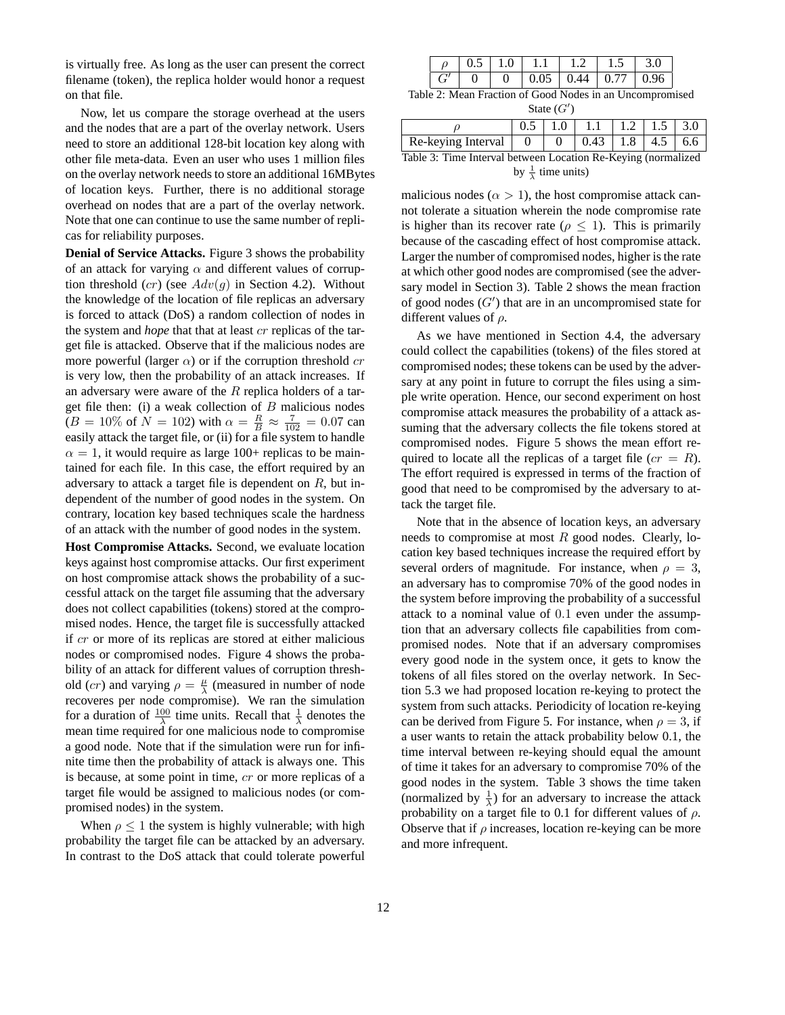is virtually free. As long as the user can present the correct filename (token), the replica holder would honor a request on that file.

Now, let us compare the storage overhead at the users and the nodes that are a part of the overlay network. Users need to store an additional 128-bit location key along with other file meta-data. Even an user who uses 1 million files on the overlay network needs to store an additional 16MBytes of location keys. Further, there is no additional storage overhead on nodes that are a part of the overlay network. Note that one can continue to use the same number of replicas for reliability purposes.

**Denial of Service Attacks.** Figure 3 shows the probability of an attack for varying  $\alpha$  and different values of corruption threshold  $(cr)$  (see  $Adv(g)$  in Section 4.2). Without the knowledge of the location of file replicas an adversary is forced to attack (DoS) a random collection of nodes in the system and *hope* that that at least cr replicas of the target file is attacked. Observe that if the malicious nodes are more powerful (larger  $\alpha$ ) or if the corruption threshold cr is very low, then the probability of an attack increases. If an adversary were aware of the  $R$  replica holders of a target file then: (i) a weak collection of  $B$  malicious nodes  $(B = 10\% \text{ of } N = 102) \text{ with } \alpha = \frac{R}{B} \approx \frac{7}{102} = 0.07 \text{ can}$ easily attack the target file, or (ii) for a file system to handle  $\alpha = 1$ , it would require as large 100+ replicas to be maintained for each file. In this case, the effort required by an adversary to attack a target file is dependent on  $R$ , but independent of the number of good nodes in the system. On contrary, location key based techniques scale the hardness of an attack with the number of good nodes in the system.

**Host Compromise Attacks.** Second, we evaluate location keys against host compromise attacks. Our first experiment on host compromise attack shows the probability of a successful attack on the target file assuming that the adversary does not collect capabilities (tokens) stored at the compromised nodes. Hence, the target file is successfully attacked if cr or more of its replicas are stored at either malicious nodes or compromised nodes. Figure 4 shows the probability of an attack for different values of corruption threshold (*cr*) and varying  $\rho = \frac{\mu}{\lambda}$  (measured in number of node recoveres per node compromise). We ran the simulation for a duration of  $\frac{100}{\lambda}$  time units. Recall that  $\frac{1}{\lambda}$  denotes the mean time required for one malicious node to compromise a good node. Note that if the simulation were run for infinite time then the probability of attack is always one. This is because, at some point in time, cr or more replicas of a target file would be assigned to malicious nodes (or compromised nodes) in the system.

When  $\rho \leq 1$  the system is highly vulnerable; with high probability the target file can be attacked by an adversary. In contrast to the DoS attack that could tolerate powerful

|  |  |  | $0.5$   1.0   1.1   1.2   1.5   3.0 |  |
|--|--|--|-------------------------------------|--|
|  |  |  |                                     |  |

Table 2: Mean Fraction of Good Nodes in an Uncompromised State  $(G')$ 

|                                                                                                            |  | $0.5$   1.0   1.1   1.2   1.5   3.0 |  |  |
|------------------------------------------------------------------------------------------------------------|--|-------------------------------------|--|--|
| Re-keying Interval $\begin{array}{ c c c c c c } \hline 0 & 0 & 0.43 & 1.8 & 4.5 & 6.6 \hline \end{array}$ |  |                                     |  |  |
| Table 3: Time Interval between Location Re-Keying (normalized                                              |  |                                     |  |  |

by  $\frac{1}{\lambda}$  time units)

malicious nodes ( $\alpha > 1$ ), the host compromise attack cannot tolerate a situation wherein the node compromise rate is higher than its recover rate ( $\rho \leq 1$ ). This is primarily because of the cascading effect of host compromise attack. Larger the number of compromised nodes, higher is the rate at which other good nodes are compromised (see the adversary model in Section 3). Table 2 shows the mean fraction of good nodes  $(G')$  that are in an uncompromised state for different values of  $\rho$ .

As we have mentioned in Section 4.4, the adversary could collect the capabilities (tokens) of the files stored at compromised nodes; these tokens can be used by the adversary at any point in future to corrupt the files using a simple write operation. Hence, our second experiment on host compromise attack measures the probability of a attack assuming that the adversary collects the file tokens stored at compromised nodes. Figure 5 shows the mean effort required to locate all the replicas of a target file  $(c\tau = R)$ . The effort required is expressed in terms of the fraction of good that need to be compromised by the adversary to attack the target file.

Note that in the absence of location keys, an adversary needs to compromise at most  $R$  good nodes. Clearly, location key based techniques increase the required effort by several orders of magnitude. For instance, when  $\rho = 3$ , an adversary has to compromise 70% of the good nodes in the system before improving the probability of a successful attack to a nominal value of 0.1 even under the assumption that an adversary collects file capabilities from compromised nodes. Note that if an adversary compromises every good node in the system once, it gets to know the tokens of all files stored on the overlay network. In Section 5.3 we had proposed location re-keying to protect the system from such attacks. Periodicity of location re-keying can be derived from Figure 5. For instance, when  $\rho = 3$ , if a user wants to retain the attack probability below 0.1, the time interval between re-keying should equal the amount of time it takes for an adversary to compromise 70% of the good nodes in the system. Table 3 shows the time taken (normalized by  $\frac{1}{\lambda}$ ) for an adversary to increase the attack probability on a target file to 0.1 for different values of  $\rho$ . Observe that if  $\rho$  increases, location re-keying can be more and more infrequent.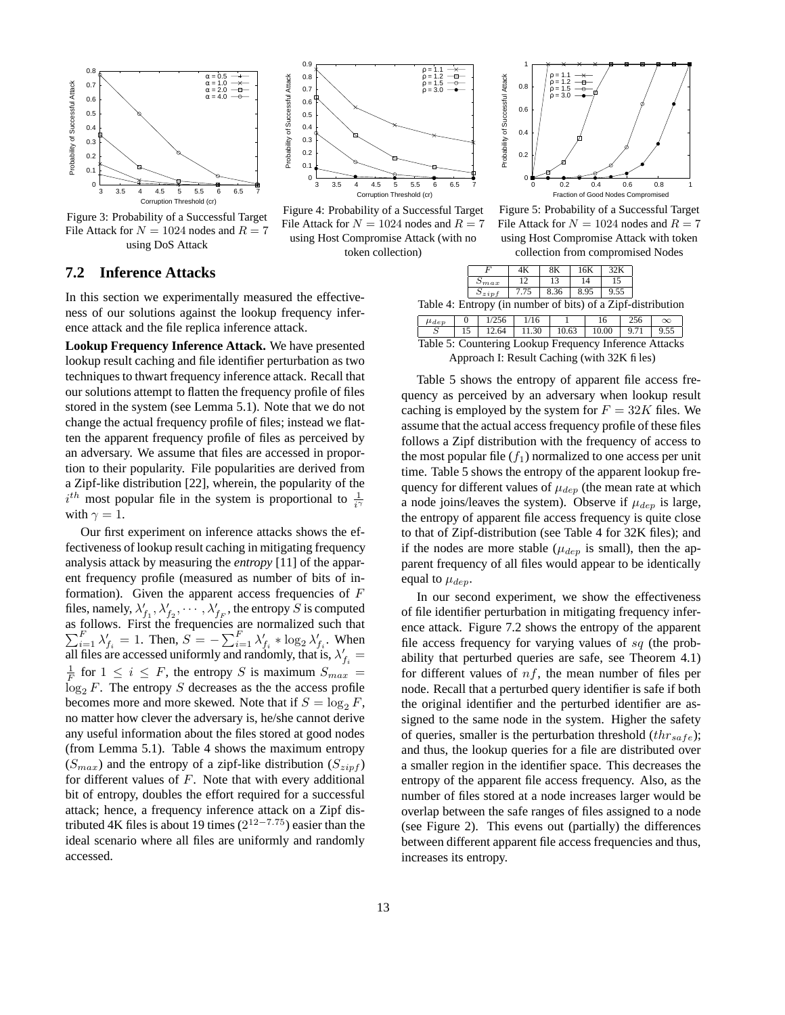

Figure 3: Probability of a Successful Target File Attack for  $N = 1024$  nodes and  $R = 7$ using DoS Attack

### **7.2 Inference Attacks**

In this section we experimentally measured the effectiveness of our solutions against the lookup frequency inference attack and the file replica inference attack.

**Lookup Frequency Inference Attack.** We have presented lookup result caching and file identifier perturbation as two techniques to thwart frequency inference attack. Recall that our solutions attempt to flatten the frequency profile of files stored in the system (see Lemma 5.1). Note that we do not change the actual frequency profile of files; instead we flatten the apparent frequency profile of files as perceived by an adversary. We assume that files are accessed in proportion to their popularity. File popularities are derived from a Zipf-like distribution [22], wherein, the popularity of the  $i^{th}$  most popular file in the system is proportional to  $\frac{1}{i\gamma}$ with  $\gamma = 1$ .

Our first experiment on inference attacks shows the effectiveness of lookup result caching in mitigating frequency analysis attack by measuring the *entropy* [11] of the apparent frequency profile (measured as number of bits of information). Given the apparent access frequencies of  $F$ files, namely,  $\lambda'_{f_1}, \lambda'_{f_2}, \ldots, \lambda'_{f_F}$ , the entropy S is computed  $\sum$ as follows. First the frequencies are normalized such that  $\sum_{i=1}^{F} \lambda'_{f_i} = 1$ . Then,  $S = -\sum_{i=1}^{F} \lambda'_{f_i} * \log_2 \lambda'_{f_i}$ . When all files are accessed uniformly and randomly, that is,  $\lambda'_{f_i}$  =  $\frac{1}{F}$  for  $1 \leq i \leq F$ , the entropy S is maximum  $S_{max}$  =  $\log_2 F$ . The entropy S decreases as the the access profile becomes more and more skewed. Note that if  $S = \log_2 F$ , no matter how clever the adversary is, he/she cannot derive any useful information about the files stored at good nodes (from Lemma 5.1). Table 4 shows the maximum entropy  $(S_{max})$  and the entropy of a zipf-like distribution  $(S_{zinf})$ for different values of  $F$ . Note that with every additional bit of entropy, doubles the effort required for a successful attack; hence, a frequency inference attack on a Zipf distributed 4K files is about 19 times  $(2^{12-7.75})$  easier than the ideal scenario where all files are uniformly and randomly accessed.



Figure 4: Probability of a Successful Target File Attack for  $N = 1024$  nodes and  $R = 7$ using Host Compromise Attack (with no token collection)



Figure 5: Probability of a Successful Target File Attack for  $N = 1024$  nodes and  $R = 7$ using Host Compromise Attack with token collection from compromised Nodes

| max |       |                          |  |
|-----|-------|--------------------------|--|
|     |       |                          |  |
|     | 0.1.1 | $\overline{\phantom{a}}$ |  |

| Table 4: Entropy (in number of bits) of a Zipf-distribution |
|-------------------------------------------------------------|
|-------------------------------------------------------------|

 $\mu_{dep}$  0 1/256 1/16 1 16 256  $\infty$ S 15 12.64 11.30 10.63 10.00 9.71 9.55 Table 5: Countering Lookup Frequency Inference Attacks

Approach I: Result Caching (with 32K files)

Table 5 shows the entropy of apparent file access frequency as perceived by an adversary when lookup result caching is employed by the system for  $F = 32K$  files. We assume that the actual accessfrequency profile of these files follows a Zipf distribution with the frequency of access to the most popular file  $(f_1)$  normalized to one access per unit time. Table 5 shows the entropy of the apparent lookup frequency for different values of  $\mu_{dep}$  (the mean rate at which a node joins/leaves the system). Observe if  $\mu_{dep}$  is large, the entropy of apparent file access frequency is quite close to that of Zipf-distribution (see Table 4 for 32K files); and if the nodes are more stable ( $\mu_{dep}$  is small), then the apparent frequency of all files would appear to be identically equal to  $\mu_{dep}$ .

In our second experiment, we show the effectiveness of file identifier perturbation in mitigating frequency inference attack. Figure 7.2 shows the entropy of the apparent file access frequency for varying values of  $sq$  (the probability that perturbed queries are safe, see Theorem 4.1) for different values of  $nf$ , the mean number of files per node. Recall that a perturbed query identifier is safe if both the original identifier and the perturbed identifier are assigned to the same node in the system. Higher the safety of queries, smaller is the perturbation threshold  $(thr_{safe})$ ; and thus, the lookup queries for a file are distributed over a smaller region in the identifier space. This decreases the entropy of the apparent file access frequency. Also, as the number of files stored at a node increases larger would be overlap between the safe ranges of files assigned to a node (see Figure 2). This evens out (partially) the differences between different apparent file access frequencies and thus, increases its entropy.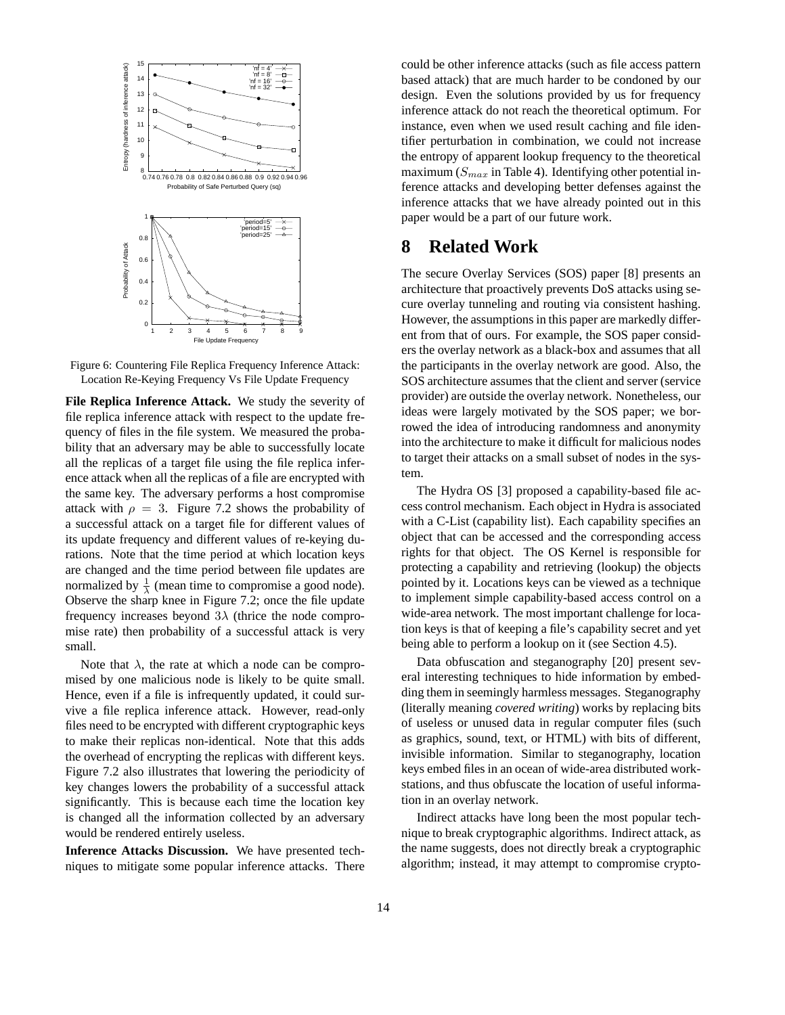

Figure 6: Countering File Replica Frequency Inference Attack: Location Re-Keying Frequency Vs File Update Frequency

**File Replica Inference Attack.** We study the severity of file replica inference attack with respect to the update frequency of files in the file system. We measured the probability that an adversary may be able to successfully locate all the replicas of a target file using the file replica inference attack when all the replicas of a file are encrypted with the same key. The adversary performs a host compromise attack with  $\rho = 3$ . Figure 7.2 shows the probability of a successful attack on a target file for different values of its update frequency and different values of re-keying durations. Note that the time period at which location keys are changed and the time period between file updates are normalized by  $\frac{1}{\lambda}$  (mean time to compromise a good node). Observe the sharp knee in Figure 7.2; once the file update frequency increases beyond  $3\lambda$  (thrice the node compromise rate) then probability of a successful attack is very small.

Note that  $\lambda$ , the rate at which a node can be compromised by one malicious node is likely to be quite small. Hence, even if a file is infrequently updated, it could survive a file replica inference attack. However, read-only files need to be encrypted with different cryptographic keys to make their replicas non-identical. Note that this adds the overhead of encrypting the replicas with different keys. Figure 7.2 also illustrates that lowering the periodicity of key changes lowers the probability of a successful attack significantly. This is because each time the location key is changed all the information collected by an adversary would be rendered entirely useless.

**Inference Attacks Discussion.** We have presented techniques to mitigate some popular inference attacks. There could be other inference attacks (such as file access pattern based attack) that are much harder to be condoned by our design. Even the solutions provided by us for frequency inference attack do not reach the theoretical optimum. For instance, even when we used result caching and file identifier perturbation in combination, we could not increase the entropy of apparent lookup frequency to the theoretical maximum  $(S_{max}$  in Table 4). Identifying other potential inference attacks and developing better defenses against the inference attacks that we have already pointed out in this paper would be a part of our future work.

## **8 Related Work**

The secure Overlay Services (SOS) paper [8] presents an architecture that proactively prevents DoS attacks using secure overlay tunneling and routing via consistent hashing. However, the assumptions in this paper are markedly different from that of ours. For example, the SOS paper considers the overlay network as a black-box and assumes that all the participants in the overlay network are good. Also, the SOS architecture assumes that the client and server (service provider) are outside the overlay network. Nonetheless, our ideas were largely motivated by the SOS paper; we borrowed the idea of introducing randomness and anonymity into the architecture to make it difficult for malicious nodes to target their attacks on a small subset of nodes in the system.

The Hydra OS [3] proposed a capability-based file access control mechanism. Each object in Hydra is associated with a C-List (capability list). Each capability specifies an object that can be accessed and the corresponding access rights for that object. The OS Kernel is responsible for protecting a capability and retrieving (lookup) the objects pointed by it. Locations keys can be viewed as a technique to implement simple capability-based access control on a wide-area network. The most important challenge for location keys is that of keeping a file's capability secret and yet being able to perform a lookup on it (see Section 4.5).

Data obfuscation and steganography [20] present several interesting techniques to hide information by embedding them in seemingly harmless messages. Steganography (literally meaning *covered writing*) works by replacing bits of useless or unused data in regular computer files (such as graphics, sound, text, or HTML) with bits of different, invisible information. Similar to steganography, location keys embed files in an ocean of wide-area distributed workstations, and thus obfuscate the location of useful information in an overlay network.

Indirect attacks have long been the most popular technique to break cryptographic algorithms. Indirect attack, as the name suggests, does not directly break a cryptographic algorithm; instead, it may attempt to compromise crypto-